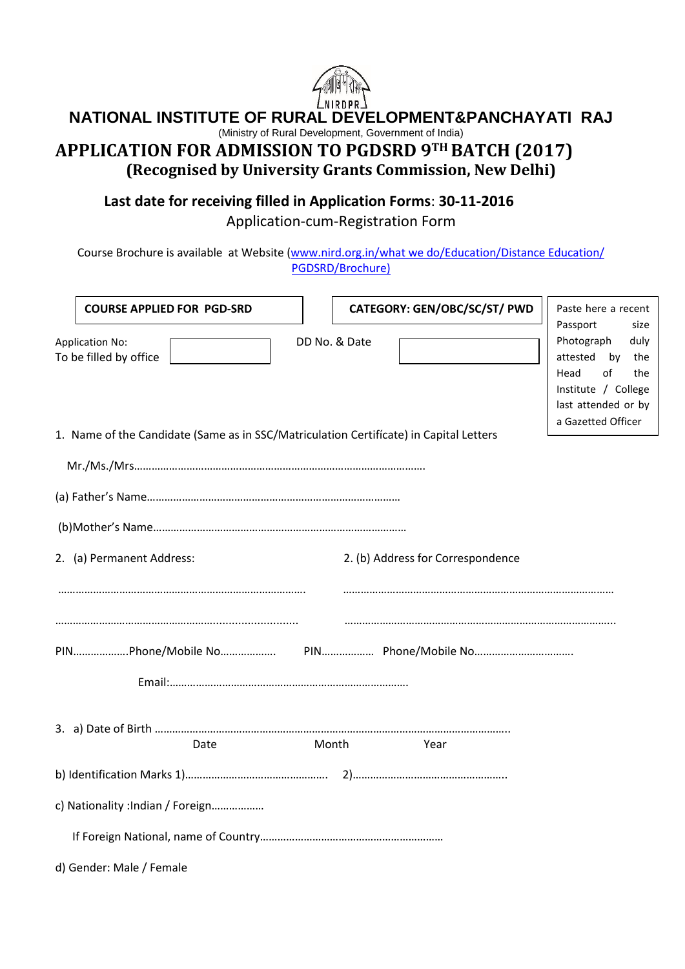

# **NATIONAL INSTITUTE OF RURAL DEVELOPMENT&PANCHAYATI RAJ**

(Ministry of Rural Development, Government of India)

# **APPLICATION FOR ADMISSION TO PGDSRD 9TH BATCH (2017) (Recognised by University Grants Commission, New Delhi)**

**Last date for receiving filled in Application Forms**: **30-11-2016**

Application-cum-Registration Form

Course Brochure is available at Website [\(www.nird.org.in/what we do/Education/Distance Education/](http://www.nird.org.in/Distance%20Education%20Cell/PGDSRD/News%20&%20Events%20)) [PGDSRD/Brochure\)](http://www.nird.org.in/Distance%20Education%20Cell/PGDSRD/News%20&%20Events%20))

| <b>COURSE APPLIED FOR PGD-SRD</b>                                                      |       |               | CATEGORY: GEN/OBC/SC/ST/ PWD      | Paste here a recent                                                                                                                                      |
|----------------------------------------------------------------------------------------|-------|---------------|-----------------------------------|----------------------------------------------------------------------------------------------------------------------------------------------------------|
| <b>Application No:</b><br>To be filled by office                                       |       | DD No. & Date |                                   | Passport<br>size<br>Photograph<br>duly<br>attested<br>by<br>the<br>of<br>Head<br>the<br>Institute / College<br>last attended or by<br>a Gazetted Officer |
| 1. Name of the Candidate (Same as in SSC/Matriculation Certificate) in Capital Letters |       |               |                                   |                                                                                                                                                          |
|                                                                                        |       |               |                                   |                                                                                                                                                          |
|                                                                                        |       |               |                                   |                                                                                                                                                          |
|                                                                                        |       |               |                                   |                                                                                                                                                          |
| 2. (a) Permanent Address:                                                              |       |               | 2. (b) Address for Correspondence |                                                                                                                                                          |
|                                                                                        |       |               |                                   |                                                                                                                                                          |
|                                                                                        |       |               |                                   |                                                                                                                                                          |
|                                                                                        |       |               |                                   |                                                                                                                                                          |
| Date                                                                                   | Month |               | Year                              |                                                                                                                                                          |
|                                                                                        |       |               |                                   |                                                                                                                                                          |
| c) Nationality : Indian / Foreign                                                      |       |               |                                   |                                                                                                                                                          |
|                                                                                        |       |               |                                   |                                                                                                                                                          |
| d) Gender: Male / Female                                                               |       |               |                                   |                                                                                                                                                          |